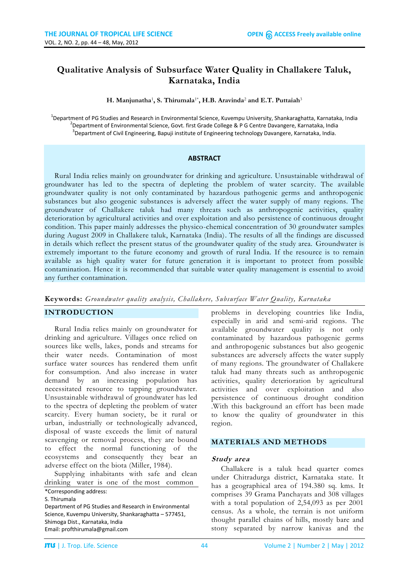# **Qualitative Analysis of Subsurface Water Quality in Challakere Taluk, Karnataka, India**

#### **H. Manjunatha**<sup>1</sup> **, S. Thirumala**1\***, H.B. Aravinda**<sup>2</sup> **and E.T. Puttaiah**<sup>3</sup>

<sup>1</sup>Department of PG Studies and Research in Environmental Science, Kuvempu University, Shankaraghatta, Karnataka, India <sup>2</sup>Department of Environmental Science, Govt. first Grade College & P G Centre Davangere, Karnataka, India  ${}^{3}$ Department of Civil Engineering, Bapuji institute of Engineering technology Davangere, Karnataka, India.

### **ABSTRACT**

Rural India relies mainly on groundwater for drinking and agriculture. Unsustainable withdrawal of groundwater has led to the spectra of depleting the problem of water scarcity. The available groundwater quality is not only contaminated by hazardous pathogenic germs and anthropogenic substances but also geogenic substances is adversely affect the water supply of many regions. The groundwater of Challakere taluk had many threats such as anthropogenic activities, quality deterioration by agricultural activities and over exploitation and also persistence of continuous drought condition. This paper mainly addresses the physico-chemical concentration of 30 groundwater samples during August 2009 in Challakere taluk, Karnataka (India). The results of all the findings are discussed in details which reflect the present status of the groundwater quality of the study area. Groundwater is extremely important to the future economy and growth of rural India. If the resource is to remain available as high quality water for future generation it is important to protect from possible contamination. Hence it is recommended that suitable water quality management is essential to avoid any further contamination.

**Keywords:** *Groundwater quality analysis, Challakere, Subsurface Water Quality, Karnataka*

### **INTRODUCTION**

Rural India relies mainly on groundwater for drinking and agriculture. Villages once relied on sources like wells, lakes, ponds and streams for their water needs. Contamination of most surface water sources has rendered them unfit for consumption. And also increase in water demand by an increasing population has necessitated resource to tapping groundwater. Unsustainable withdrawal of groundwater has led to the spectra of depleting the problem of water scarcity. Every human society, be it rural or urban, industrially or technologically advanced, disposal of waste exceeds the limit of natural scavenging or removal process, they are bound to effect the normal functioning of the ecosystems and consequently they bear an adverse effect on the biota (Miller, 1984).

Supplying inhabitants with safe and clean drinking water is one of the most common

\*Corresponding address: S. Thirumala

Department of PG Studies and Research in Environmental Science, Kuvempu University, Shankaraghatta – 577451, Shimoga Dist., Karnataka, India Email: profthirumala@gmail.com

problems in developing countries like India, especially in arid and semi-arid regions. The available groundwater quality is not only contaminated by hazardous pathogenic germs and anthropogenic substances but also geogenic substances are adversely affects the water supply of many regions. The groundwater of Challakere taluk had many threats such as anthropogenic activities, quality deterioration by agricultural activities and over exploitation and also persistence of continuous drought condition .With this background an effort has been made to know the quality of groundwater in this region.

#### **MATERIALS AND METHODS**

### **Study area**

Challakere is a taluk head quarter comes under Chitradurga district, Karnataka state. It has a geographical area of 194.380 sq. kms. It comprises 39 Grama Panchayats and 308 villages with a total population of 2,54,093 as per 2001 census. As a whole, the terrain is not uniform thought parallel chains of hills, mostly bare and stony separated by narrow kanivas and the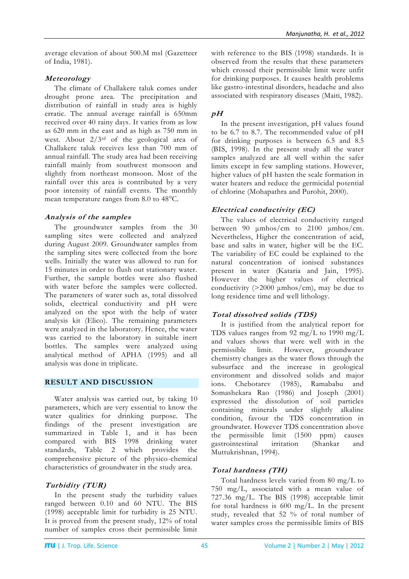average elevation of about 500.M msl (Gazetteer of India, 1981).

## **Meteorology**

The climate of Challakere taluk comes under drought prone area. The precipitation and distribution of rainfall in study area is highly erratic. The annual average rainfall is 650mm received over 40 rainy days. It varies from as low as 620 mm in the east and as high as 750 mm in west. About 2/3rd of the geological area of Challakere taluk receives less than 700 mm of annual rainfall. The study area had been receiving rainfall mainly from southwest monsoon and slightly from northeast monsoon. Most of the rainfall over this area is contributed by a very poor intensity of rainfall events. The monthly mean temperature ranges from 8.0 to 48°C.

## **Analysis of the samples**

The groundwater samples from the 30 sampling sites were collected and analyzed during August 2009. Groundwater samples from the sampling sites were collected from the bore wells. Initially the water was allowed to run for 15 minutes in order to flush out stationary water. Further, the sample bottles were also flushed with water before the samples were collected. The parameters of water such as, total dissolved solids, electrical conductivity and pH were analyzed on the spot with the help of water analysis kit (Elico). The remaining parameters were analyzed in the laboratory. Hence, the water was carried to the laboratory in suitable inert bottles. The samples were analyzed using analytical method of APHA (1995) and all analysis was done in triplicate.

# **RESULT AND DISCUSSION**

Water analysis was carried out, by taking 10 parameters, which are very essential to know the water qualities for drinking purpose. The findings of the present investigation are summarized in Table 1, and it has been compared with BIS 1998 drinking water standards, Table 2 which provides the comprehensive picture of the physico-chemical characteristics of groundwater in the study area.

# **Turbidity (TUR)**

In the present study the turbidity values ranged between 0.10 and 60 NTU. The BIS (1998) acceptable limit for turbidity is 25 NTU. It is proved from the present study, 12% of total number of samples cross their permissible limit with reference to the BIS (1998) standards. It is observed from the results that these parameters which crossed their permissible limit were unfit for drinking purposes. It causes health problems like gastro-intestinal disorders, headache and also associated with respiratory diseases (Maiti, 1982).

# **pH**

In the present investigation, pH values found to be 6.7 to 8.7. The recommended value of pH for drinking purposes is between 6.5 and 8.5 (BIS, 1998). In the present study all the water samples analyzed are all well within the safer limits except in few sampling stations. However, higher values of pH hasten the scale formation in water heaters and reduce the germicidal potential of chlorine (Mohapathra and Purohit, 2000).

# **Electrical conductivity (EC)**

The values of electrical conductivity ranged between 90 μmhos/cm to 2100 μmhos/cm. Nevertheless, Higher the concentration of acid, base and salts in water, higher will be the EC. The variability of EC could be explained to the natural concentration of ionised substances present in water (Kataria and Jain, 1995). However the higher values of electrical conductivity (>2000 μmhos/cm), may be due to long residence time and well lithology.

# **Total dissolved solids (TDS)**

It is justified from the analytical report for TDS values ranges from 92 mg/L to 1990 mg/L and values shows that were well with in the permissible limit. However, groundwater chemistry changes as the water flows through the subsurface and the increase in geological environment and dissolved solids and major ions. Chebotarev (1985), Ramababu and Somashekara Rao (1986) and Joseph (2001) expressed the dissolution of soil particles containing minerals under slightly alkaline condition, favour the TDS concentration in groundwater. However TDS concentration above the permissible limit (1500 ppm) causes gastrointestinal irritation (Shankar and Muttukrishnan, 1994).

# **Total hardness (TH)**

Total hardness levels varied from 80 mg/L to 750 mg/L, associated with a mean value of 727.36 mg/L. The BIS (1998) acceptable limit for total hardness is 600 mg/L. In the present study, revealed that 52 % of total number of water samples cross the permissible limits of BIS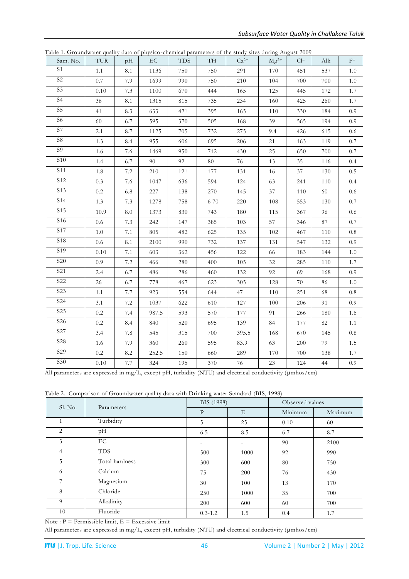| Sam. No.         | <b>TUR</b> | pH              | EC    | <b>TDS</b> | TH     | $Ca^{2+}$ | $Mg^{2+}$ | $Cl^-$ | Alk    | $F-$    |
|------------------|------------|-----------------|-------|------------|--------|-----------|-----------|--------|--------|---------|
| S <sub>1</sub>   | $1.1\,$    | 8.1             | 1136  | 750        | 750    | 291       | 170       | 451    | 537    | $1.0\,$ |
| $\overline{S2}$  | 0.7        | 7.9             | 1699  | 990        | 750    | 210       | 104       | 700    | 700    | $1.0\,$ |
| S <sub>3</sub>   | 0.10       | 7.3             | 1100  | 670        | 444    | 165       | 125       | 445    | 172    | 1.7     |
| S <sub>4</sub>   | 36         | 8.1             | 1315  | 815        | 735    | 234       | 160       | 425    | 260    | 1.7     |
| $\rm S5$         | 41         | 8.3             | 633   | 421        | 395    | 165       | $110\,$   | 330    | 184    | 0.9     |
| S <sub>6</sub>   | 60         | 6.7             | 595   | 370        | 505    | $168\,$   | 39        | 565    | 194    | $0.9\,$ |
| $\overline{S7}$  | 2.1        | 8.7             | 1125  | 705        | 732    | 275       | 9.4       | 426    | 615    | $0.6\,$ |
| S <sub>8</sub>   | 1.3        | 8.4             | 955   | 606        | 695    | 206       | 21        | 163    | 119    | $0.7\,$ |
| S <sub>9</sub>   | 1.6        | 7.6             | 1469  | 950        | 712    | 430       | 25        | 650    | 700    | 0.7     |
| $\overline{S10}$ | 1.4        | 6.7             | 90    | 92         | $80\,$ | 76        | 13        | 35     | 116    | 0.4     |
| <b>S11</b>       | 1.8        | $7.2\,$         | 210   | 121        | 177    | 131       | 16        | 37     | 130    | 0.5     |
| S12              | 0.3        | 7.6             | 1047  | 636        | 594    | 124       | 63        | 241    | 110    | 0.4     |
| S <sub>13</sub>  | 0.2        | 6.8             | 227   | 138        | 270    | 145       | 37        | 110    | $60\,$ | $0.6\,$ |
| <b>S14</b>       | 1.3        | 7.3             | 1278  | 758        | 670    | 220       | 108       | 553    | 130    | $0.7\,$ |
| <b>S15</b>       | 10.9       | $\ \, 8.0$      | 1373  | 830        | 743    | 180       | 115       | 367    | 96     | $0.6\,$ |
| S16              | $0.6\,$    | $7.3\,$         | 242   | 147        | 385    | 103       | 57        | 346    | $87\,$ | $0.7\,$ |
| $\overline{S17}$ | $1.0\,$    | $7.1\,$         | 805   | 482        | 625    | 135       | 102       | 467    | 110    | $0.8\,$ |
| $\overline{S18}$ | 0.6        | 8.1             | 2100  | 990        | 732    | 137       | 131       | 547    | 132    | 0.9     |
| S <sub>19</sub>  | $0.10\,$   | 7.1             | 603   | 362        | 456    | 122       | 66        | 183    | 144    | $1.0\,$ |
| <b>S20</b>       | 0.9        | $7.2\,$         | 466   | 280        | 400    | 105       | $32\,$    | 285    | 110    | 1.7     |
| S <sub>21</sub>  | 2.4        | 6.7             | 486   | 286        | 460    | 132       | 92        | 69     | 168    | 0.9     |
| $\overline{S22}$ | 26         | 6.7             | 778   | 467        | 623    | 305       | 128       | $70\,$ | $86\,$ | $1.0\,$ |
| S <sub>2</sub> 3 | $1.1\,$    | 7.7             | 923   | 554        | 644    | 47        | 110       | 251    | 68     | $0.8\,$ |
| S <sub>24</sub>  | 3.1        | $7.2\,$         | 1037  | 622        | 610    | 127       | 100       | 206    | 91     | 0.9     |
| S <sub>25</sub>  | 0.2        | 7.4             | 987.5 | 593        | 570    | 177       | 91        | 266    | 180    | 1.6     |
| S <sub>26</sub>  | $0.2\,$    | 8.4             | 840   | 520        | 695    | 139       | 84        | 177    | 82     | 1.1     |
| S <sub>27</sub>  | 3.4        | $7.8\,$         | 545   | 315        | 700    | 395.5     | 168       | 670    | 145    | $0.8\,$ |
| $\overline{S28}$ | 1.6        | 7.9             | 360   | 260        | 595    | 83.9      | 63        | 200    | 79     | 1.5     |
| S <sub>29</sub>  | $0.2\,$    | $\!\!\!\!\!8.2$ | 252.5 | $150\,$    | 660    | 289       | $170\,$   | 700    | 138    | 1.7     |
| S30              | $0.10\,$   | 7.7             | 324   | 195        | 370    | $76\,$    | $23\,$    | 124    | $44\,$ | 0.9     |

Table 1. Groundwater quality data of physico-chemical parameters of the study sites during August 2009

All parameters are expressed in mg/L, except pH, turbidity (NTU) and electrical conductivity (umhos/cm)

| Sl. No.        | Parameters     | BIS (1998)               |                          | Observed values |         |  |
|----------------|----------------|--------------------------|--------------------------|-----------------|---------|--|
|                |                | $\mathbf{P}$             | E                        | Minimum         | Maximum |  |
|                | Turbidity      | 5                        | 25                       | 0.10            | 60      |  |
| 2              | pН             | 6.5                      | 8.5                      | 6.7             | 8.7     |  |
| 3              | EC             | $\overline{\phantom{a}}$ | $\overline{\phantom{a}}$ | 90              | 2100    |  |
| $\overline{4}$ | <b>TDS</b>     | 500                      | 1000                     | 92              | 990     |  |
| 5              | Total hardness | 300                      | 600                      | 80              | 750     |  |
| 6              | Calcium        | 75                       | 200                      | 76              | 430     |  |
|                | Magnesium      | 30                       | 100                      | 13              | 170     |  |
| 8              | Chloride       | 250                      | 1000                     | 35              | 700     |  |
| 9              | Alkalinity     | 200                      | 600                      | 60              | 700     |  |
| 10             | Fluoride       | $0.3 - 1.2$              | 1.5                      | 0.4             | 1.7     |  |

Note :  $P =$  Permissible limit,  $E =$  Excessive limit

All parameters are expressed in mg/L, except pH, turbidity (NTU) and electrical conductivity (mhos/cm)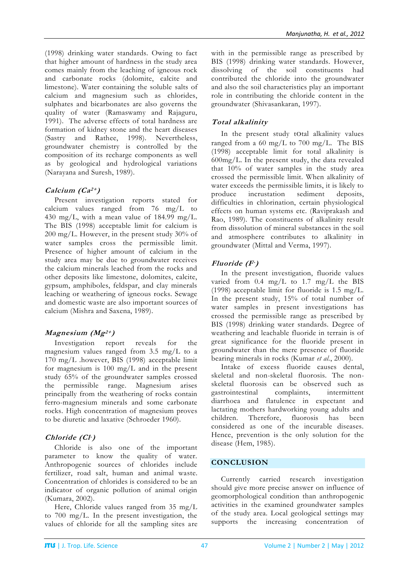(1998) drinking water standards. Owing to fact that higher amount of hardness in the study area comes mainly from the leaching of igneous rock and carbonate rocks (dolomite, calcite and limestone). Water containing the soluble salts of calcium and magnesium such as chlorides, sulphates and bicarbonates are also governs the quality of water (Ramaswamy and Rajaguru, 1991). The adverse effects of total hardness are formation of kidney stone and the heart diseases (Sastry and Rathee, 1998). Nevertheless, groundwater chemistry is controlled by the composition of its recharge components as well as by geological and hydrological variations (Narayana and Suresh, 1989).

## **Calcium (Ca2+ )**

Present investigation reports stated for calcium values ranged from 76 mg/L to 430 mg/L, with a mean value of  $184.99$  mg/L. The BIS (1998) acceptable limit for calcium is 200 mg/L. However, in the present study 30% of water samples cross the permissible limit. Presence of higher amount of calcium in the study area may be due to groundwater receives the calcium minerals leached from the rocks and other deposits like limestone, dolomites, calcite, gypsum, amphiboles, feldspar, and clay minerals leaching or weathering of igneous rocks. Sewage and domestic waste are also important sources of calcium (Mishra and Saxena, 1989).

## **Magnesium (Mg2+ )**

Investigation report reveals for the magnesium values ranged from 3.5 mg/L to a 170 mg/L .however, BIS (1998) acceptable limit for magnesium is 100 mg/L and in the present study 65% of the groundwater samples crossed the permissible range. Magnesium arises principally from the weathering of rocks contain ferro-magnesium minerals and some carbonate rocks. High concentration of magnesium proves to be diuretic and laxative (Schroeder 1960).

## **Chloride (Cl -)**

Chloride is also one of the important parameter to know the quality of water. Anthropogenic sources of chlorides include fertilizer, road salt, human and animal waste. Concentration of chlorides is considered to be an indicator of organic pollution of animal origin (Kumara, 2002).

Here, Chloride values ranged from 35 mg/L to 700 mg/L. In the present investigation, the values of chloride for all the sampling sites are with in the permissible range as prescribed by BIS (1998) drinking water standards. However, dissolving of the soil constituents had contributed the chloride into the groundwater and also the soil characteristics play an important role in contributing the chloride content in the groundwater (Shivasankaran, 1997).

# **Total alkalinity**

In the present study total alkalinity values ranged from a 60 mg/L to 700 mg/L. The BIS (1998) acceptable limit for total alkalinity is 600mg/L. In the present study, the data revealed that 10% of water samples in the study area crossed the permissible limit. When alkalinity of water exceeds the permissible limits, it is likely to produce incrustation sediment deposits, difficulties in chlorination, certain physiological effects on human systems etc. (Raviprakash and Rao, 1989). The constituents of alkalinity result from dissolution of mineral substances in the soil and atmosphere contributes to alkalinity in groundwater (Mittal and Verma, 1997).

## **Fluoride (F-)**

In the present investigation, fluoride values varied from 0.4 mg/L to 1.7 mg/L the BIS (1998) acceptable limit for fluoride is 1.5 mg/L. In the present study, 15% of total number of water samples in present investigations has crossed the permissible range as prescribed by BIS (1998) drinking water standards. Degree of weathering and leachable fluoride in terrain is of great significance for the fluoride present in groundwater than the mere presence of fluoride bearing minerals in rocks (Kumar *et al.*, 2000).

Intake of excess fluoride causes dental, skeletal and non-skeletal fluorosis. The nonskeletal fluorosis can be observed such as gastrointestinal complaints, intermittent diarrhoea and flatulence in expectant and lactating mothers hardworking young adults and children. Therefore, fluorosis has been considered as one of the incurable diseases. Hence, prevention is the only solution for the disease (Hem, 1985).

## **CONCLUSION**

Currently carried research investigation should give more precise answer on influence of geomorphological condition than anthropogenic activities in the examined groundwater samples of the study area. Local geological settings may supports the increasing concentration of